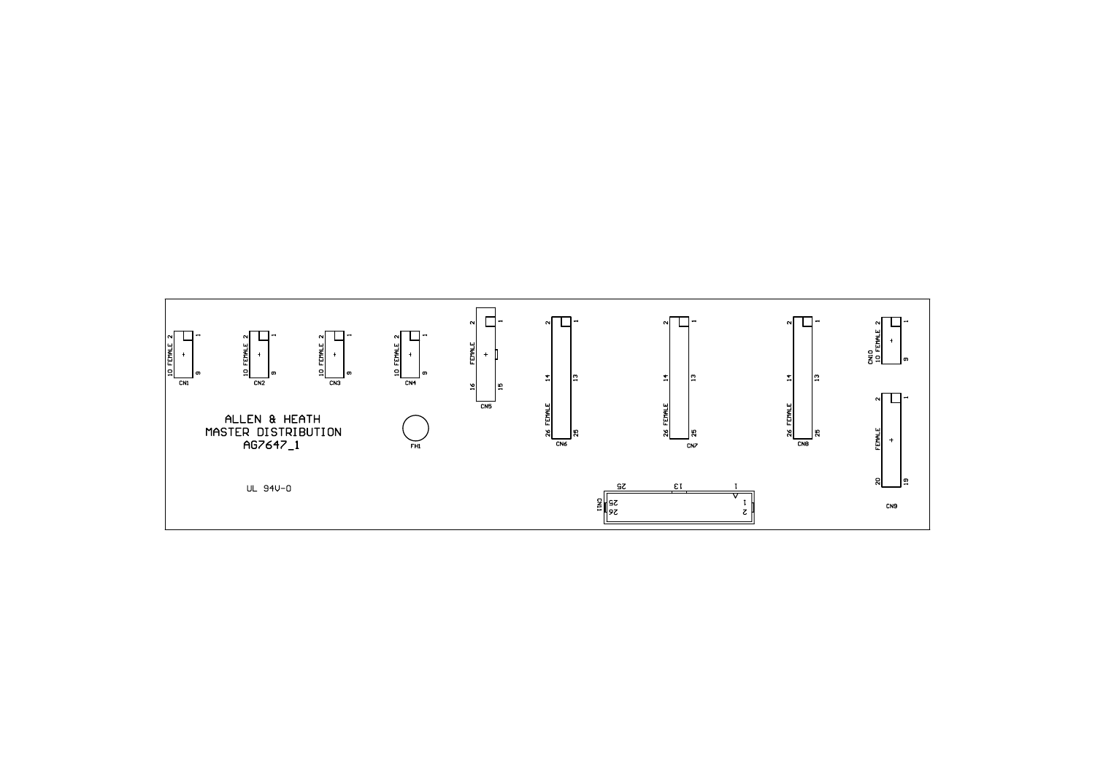